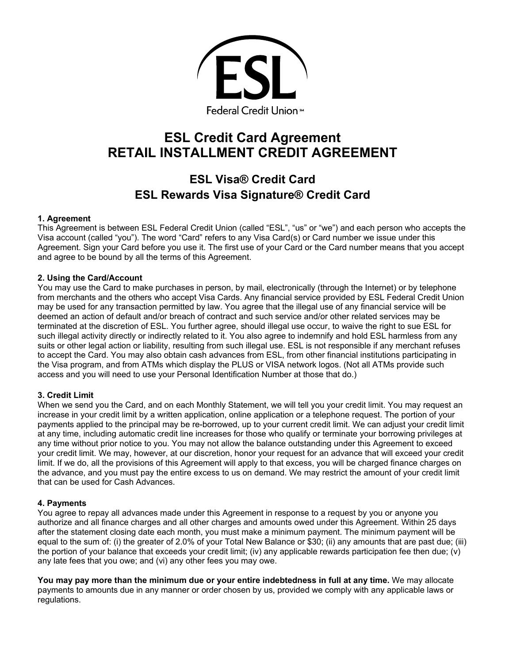

# **ESL Credit Card Agreement RETAIL INSTALLMENT CREDIT AGREEMENT**

## **ESL Visa® Credit Card ESL Rewards Visa Signature® Credit Card**

## **1. Agreement**

This Agreement is between ESL Federal Credit Union (called "ESL", "us" or "we") and each person who accepts the Visa account (called "you"). The word "Card" refers to any Visa Card(s) or Card number we issue under this Agreement. Sign your Card before you use it. The first use of your Card or the Card number means that you accept and agree to be bound by all the terms of this Agreement.

## **2. Using the Card/Account**

You may use the Card to make purchases in person, by mail, electronically (through the Internet) or by telephone from merchants and the others who accept Visa Cards. Any financial service provided by ESL Federal Credit Union may be used for any transaction permitted by law. You agree that the illegal use of any financial service will be deemed an action of default and/or breach of contract and such service and/or other related services may be terminated at the discretion of ESL. You further agree, should illegal use occur, to waive the right to sue ESL for such illegal activity directly or indirectly related to it. You also agree to indemnify and hold ESL harmless from any suits or other legal action or liability, resulting from such illegal use. ESL is not responsible if any merchant refuses to accept the Card. You may also obtain cash advances from ESL, from other financial institutions participating in the Visa program, and from ATMs which display the PLUS or VISA network logos. (Not all ATMs provide such access and you will need to use your Personal Identification Number at those that do.)

## **3. Credit Limit**

When we send you the Card, and on each Monthly Statement, we will tell you your credit limit. You may request an increase in your credit limit by a written application, online application or a telephone request. The portion of your payments applied to the principal may be re-borrowed, up to your current credit limit. We can adjust your credit limit at any time, including automatic credit line increases for those who qualify or terminate your borrowing privileges at any time without prior notice to you. You may not allow the balance outstanding under this Agreement to exceed your credit limit. We may, however, at our discretion, honor your request for an advance that will exceed your credit limit. If we do, all the provisions of this Agreement will apply to that excess, you will be charged finance charges on the advance, and you must pay the entire excess to us on demand. We may restrict the amount of your credit limit that can be used for Cash Advances.

## **4. Payments**

You agree to repay all advances made under this Agreement in response to a request by you or anyone you authorize and all finance charges and all other charges and amounts owed under this Agreement. Within 25 days after the statement closing date each month, you must make a minimum payment. The minimum payment will be equal to the sum of: (i) the greater of 2.0% of your Total New Balance or \$30; (ii) any amounts that are past due; (iii) the portion of your balance that exceeds your credit limit; (iv) any applicable rewards participation fee then due; (v) any late fees that you owe; and (vi) any other fees you may owe.

 **You may pay more than the minimum due or your entire indebtedness in full at any time.** We may allocate payments to amounts due in any manner or order chosen by us, provided we comply with any applicable laws or regulations.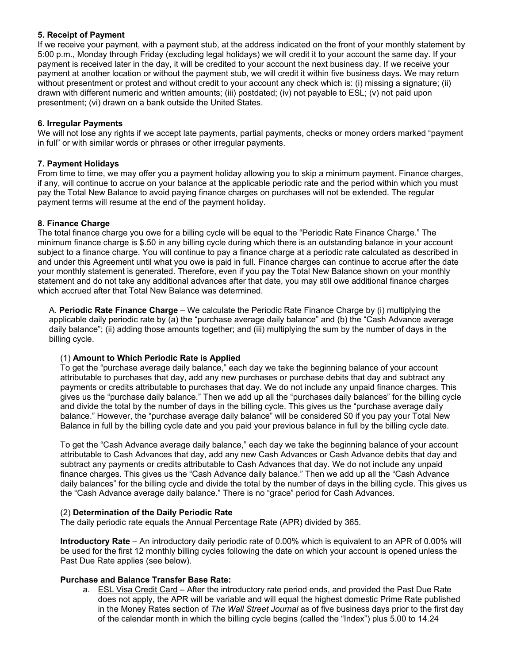## **5. Receipt of Payment**

If we receive your payment, with a payment stub, at the address indicated on the front of your monthly statement by 5:00 p.m., Monday through Friday (excluding legal holidays) we will credit it to your account the same day. If your payment is received later in the day, it will be credited to your account the next business day. If we receive your payment at another location or without the payment stub, we will credit it within five business days. We may return without presentment or protest and without credit to your account any check which is: (i) missing a signature; (ii) drawn with different numeric and written amounts; (iii) postdated; (iv) not payable to ESL; (v) not paid upon presentment; (vi) drawn on a bank outside the United States.

## **6. Irregular Payments**

We will not lose any rights if we accept late payments, partial payments, checks or money orders marked "payment in full" or with similar words or phrases or other irregular payments.

## **7. Payment Holidays**

From time to time, we may offer you a payment holiday allowing you to skip a minimum payment. Finance charges, if any, will continue to accrue on your balance at the applicable periodic rate and the period within which you must pay the Total New Balance to avoid paying finance charges on purchases will not be extended. The regular payment terms will resume at the end of the payment holiday.

## **8. Finance Charge**

The total finance charge you owe for a billing cycle will be equal to the "Periodic Rate Finance Charge." The minimum finance charge is \$.50 in any billing cycle during which there is an outstanding balance in your account subject to a finance charge. You will continue to pay a finance charge at a periodic rate calculated as described in and under this Agreement until what you owe is paid in full. Finance charges can continue to accrue after the date your monthly statement is generated. Therefore, even if you pay the Total New Balance shown on your monthly statement and do not take any additional advances after that date, you may still owe additional finance charges which accrued after that Total New Balance was determined.

A. **Periodic Rate Finance Charge** – We calculate the Periodic Rate Finance Charge by (i) multiplying the applicable daily periodic rate by (a) the "purchase average daily balance" and (b) the "Cash Advance average daily balance"; (ii) adding those amounts together; and (iii) multiplying the sum by the number of days in the billing cycle.

## (1) **Amount to Which Periodic Rate is Applied**

To get the "purchase average daily balance," each day we take the beginning balance of your account attributable to purchases that day, add any new purchases or purchase debits that day and subtract any payments or credits attributable to purchases that day. We do not include any unpaid finance charges. This gives us the "purchase daily balance." Then we add up all the "purchases daily balances" for the billing cycle and divide the total by the number of days in the billing cycle. This gives us the "purchase average daily balance." However, the "purchase average daily balance" will be considered \$0 if you pay your Total New Balance in full by the billing cycle date and you paid your previous balance in full by the billing cycle date.

To get the "Cash Advance average daily balance," each day we take the beginning balance of your account attributable to Cash Advances that day, add any new Cash Advances or Cash Advance debits that day and subtract any payments or credits attributable to Cash Advances that day. We do not include any unpaid finance charges. This gives us the "Cash Advance daily balance." Then we add up all the "Cash Advance daily balances" for the billing cycle and divide the total by the number of days in the billing cycle. This gives us the "Cash Advance average daily balance." There is no "grace" period for Cash Advances.

## (2) **Determination of the Daily Periodic Rate**

The daily periodic rate equals the Annual Percentage Rate (APR) divided by 365.

**Introductory Rate** – An introductory daily periodic rate of 0.00% which is equivalent to an APR of 0.00% will be used for the first 12 monthly billing cycles following the date on which your account is opened unless the Past Due Rate applies (see below).

## **Purchase and Balance Transfer Base Rate:**

 in the Money Rates section of *The Wall Street Journal* as of five business days prior to the first day a. ESL Visa Credit Card – After the introductory rate period ends, and provided the Past Due Rate does not apply, the APR will be variable and will equal the highest domestic Prime Rate published of the calendar month in which the billing cycle begins (called the "Index") plus 5.00 to 14.24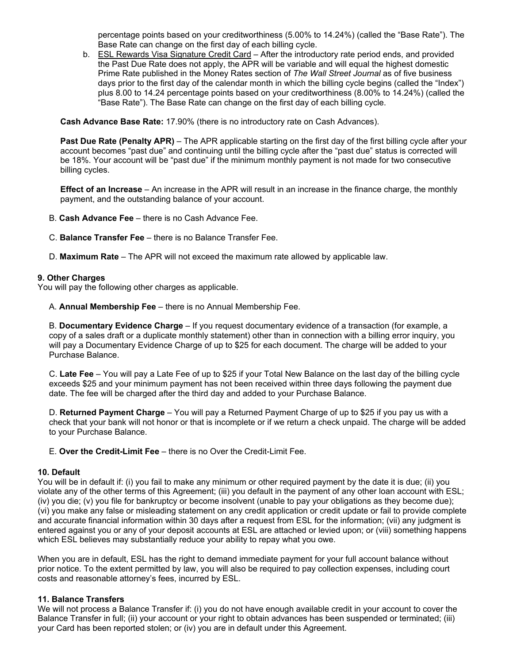percentage points based on your creditworthiness (5.00% to 14.24%) (called the "Base Rate"). The Base Rate can change on the first day of each billing cycle.

b. ESL Rewards Visa Signature Credit Card - After the introductory rate period ends, and provided the Past Due Rate does not apply, the APR will be variable and will equal the highest domestic Prime Rate published in the Money Rates section of *The Wall Street Journal* as of five business days prior to the first day of the calendar month in which the billing cycle begins (called the "Index") plus 8.00 to 14.24 percentage points based on your creditworthiness (8.00% to 14.24%) (called the "Base Rate"). The Base Rate can change on the first day of each billing cycle.

**Cash Advance Base Rate:** 17.90% (there is no introductory rate on Cash Advances).

**Past Due Rate (Penalty APR)** – The APR applicable starting on the first day of the first billing cycle after your account becomes "past due" and continuing until the billing cycle after the "past due" status is corrected will be 18%. Your account will be "past due" if the minimum monthly payment is not made for two consecutive billing cycles.

**Effect of an Increase** – An increase in the APR will result in an increase in the finance charge, the monthly payment, and the outstanding balance of your account.

- B. **Cash Advance Fee**  there is no Cash Advance Fee.
- C. **Balance Transfer Fee**  there is no Balance Transfer Fee.
- D. **Maximum Rate** The APR will not exceed the maximum rate allowed by applicable law.

#### **9. Other Charges**

You will pay the following other charges as applicable.

A. **Annual Membership Fee** – there is no Annual Membership Fee.

B. **Documentary Evidence Charge** – If you request documentary evidence of a transaction (for example, a copy of a sales draft or a duplicate monthly statement) other than in connection with a billing error inquiry, you will pay a Documentary Evidence Charge of up to \$25 for each document. The charge will be added to your Purchase Balance.

C. **Late Fee** – You will pay a Late Fee of up to \$25 if your Total New Balance on the last day of the billing cycle exceeds \$25 and your minimum payment has not been received within three days following the payment due date. The fee will be charged after the third day and added to your Purchase Balance.

D. **Returned Payment Charge** – You will pay a Returned Payment Charge of up to \$25 if you pay us with a check that your bank will not honor or that is incomplete or if we return a check unpaid. The charge will be added to your Purchase Balance.

E. **Over the Credit-Limit Fee** – there is no Over the Credit-Limit Fee.

#### **10. Default**

You will be in default if: (i) you fail to make any minimum or other required payment by the date it is due; (ii) you violate any of the other terms of this Agreement; (iii) you default in the payment of any other loan account with ESL; (iv) you die; (v) you file for bankruptcy or become insolvent (unable to pay your obligations as they become due); (vi) you make any false or misleading statement on any credit application or credit update or fail to provide complete and accurate financial information within 30 days after a request from ESL for the information; (vii) any judgment is entered against you or any of your deposit accounts at ESL are attached or levied upon; or (viii) something happens which ESL believes may substantially reduce your ability to repay what you owe.

When you are in default, ESL has the right to demand immediate payment for your full account balance without prior notice. To the extent permitted by law, you will also be required to pay collection expenses, including court costs and reasonable attorney's fees, incurred by ESL.

#### **11. Balance Transfers**

We will not process a Balance Transfer if: (i) you do not have enough available credit in your account to cover the Balance Transfer in full; (ii) your account or your right to obtain advances has been suspended or terminated; (iii) your Card has been reported stolen; or (iv) you are in default under this Agreement.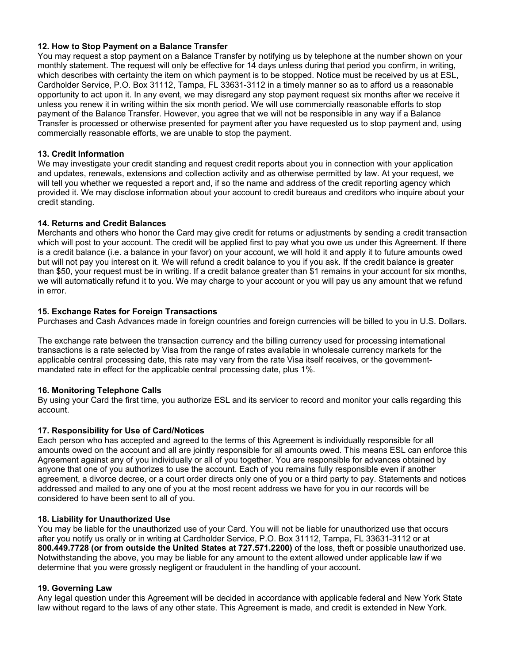### **12. How to Stop Payment on a Balance Transfer**

You may request a stop payment on a Balance Transfer by notifying us by telephone at the number shown on your monthly statement. The request will only be effective for 14 days unless during that period you confirm, in writing, which describes with certainty the item on which payment is to be stopped. Notice must be received by us at ESL, Cardholder Service, P.O. Box 31112, Tampa, FL 33631-3112 in a timely manner so as to afford us a reasonable opportunity to act upon it. In any event, we may disregard any stop payment request six months after we receive it unless you renew it in writing within the six month period. We will use commercially reasonable efforts to stop payment of the Balance Transfer. However, you agree that we will not be responsible in any way if a Balance Transfer is processed or otherwise presented for payment after you have requested us to stop payment and, using commercially reasonable efforts, we are unable to stop the payment.

### **13. Credit Information**

We may investigate your credit standing and request credit reports about you in connection with your application and updates, renewals, extensions and collection activity and as otherwise permitted by law. At your request, we will tell you whether we requested a report and, if so the name and address of the credit reporting agency which provided it. We may disclose information about your account to credit bureaus and creditors who inquire about your credit standing.

#### **14. Returns and Credit Balances**

 but will not pay you interest on it. We will refund a credit balance to you if you ask. If the credit balance is greater Merchants and others who honor the Card may give credit for returns or adjustments by sending a credit transaction which will post to your account. The credit will be applied first to pay what you owe us under this Agreement. If there is a credit balance (i.e. a balance in your favor) on your account, we will hold it and apply it to future amounts owed than \$50, your request must be in writing. If a credit balance greater than \$1 remains in your account for six months, we will automatically refund it to you. We may charge to your account or you will pay us any amount that we refund in error.

#### **15. Exchange Rates for Foreign Transactions**

Purchases and Cash Advances made in foreign countries and foreign currencies will be billed to you in U.S. Dollars.

The exchange rate between the transaction currency and the billing currency used for processing international transactions is a rate selected by Visa from the range of rates available in wholesale currency markets for the applicable central processing date, this rate may vary from the rate Visa itself receives, or the governmentmandated rate in effect for the applicable central processing date, plus 1%.

## **16. Monitoring Telephone Calls**

By using your Card the first time, you authorize ESL and its servicer to record and monitor your calls regarding this account.

## **17. Responsibility for Use of Card/Notices**

Each person who has accepted and agreed to the terms of this Agreement is individually responsible for all amounts owed on the account and all are jointly responsible for all amounts owed. This means ESL can enforce this Agreement against any of you individually or all of you together. You are responsible for advances obtained by anyone that one of you authorizes to use the account. Each of you remains fully responsible even if another agreement, a divorce decree, or a court order directs only one of you or a third party to pay. Statements and notices addressed and mailed to any one of you at the most recent address we have for you in our records will be considered to have been sent to all of you.

## **18. Liability for Unauthorized Use**

You may be liable for the unauthorized use of your Card. You will not be liable for unauthorized use that occurs after you notify us orally or in writing at Cardholder Service, P.O. Box 31112, Tampa, FL 33631-3112 or at **800.449.7728 (or from outside the United States at 727.571.2200)** of the loss, theft or possible unauthorized use. Notwithstanding the above, you may be liable for any amount to the extent allowed under applicable law if we determine that you were grossly negligent or fraudulent in the handling of your account.

#### **19. Governing Law**

Any legal question under this Agreement will be decided in accordance with applicable federal and New York State law without regard to the laws of any other state. This Agreement is made, and credit is extended in New York.